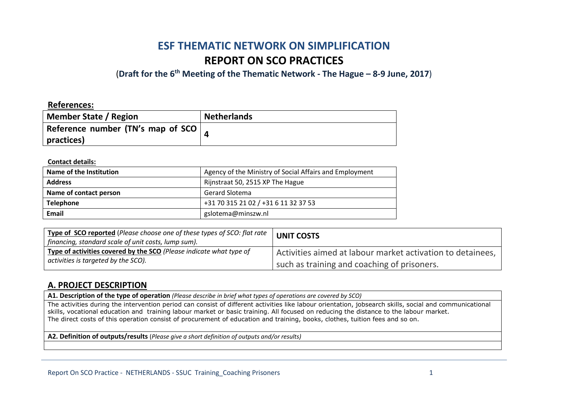# **ESF THEMATIC NETWORK ON SIMPLIFICATION REPORT ON SCO PRACTICES**

(**Draft for the 6th Meeting of the Thematic Network - The Hague – 8-9 June, 2017**)

#### **References:**

| Member State / Region             | <b>Netherlands</b> |
|-----------------------------------|--------------------|
| Reference number (TN's map of SCO |                    |
| practices)                        |                    |

#### **Contact details:**

| Name of the Institution | Agency of the Ministry of Social Affairs and Employment |
|-------------------------|---------------------------------------------------------|
| <b>Address</b>          | Rijnstraat 50, 2515 XP The Hague                        |
| Name of contact person  | <b>Gerard Slotema</b>                                   |
| <b>Telephone</b>        | +31 70 315 21 02 / +31 6 11 32 37 53                    |
| Email                   | gslotema@minszw.nl                                      |

| Type of SCO reported (Please choose one of these types of SCO: flat rate<br>financing, standard scale of unit costs, lump sum). | <b>UNIT COSTS</b>                                          |
|---------------------------------------------------------------------------------------------------------------------------------|------------------------------------------------------------|
| Type of activities covered by the SCO (Please indicate what type of                                                             | Activities aimed at labour market activation to detainees, |
| activities is targeted by the SCO).                                                                                             | such as training and coaching of prisoners.                |

### **A. PROJECT DESCRIPTION**

**A1. Description of the type of operation** *(Please describe in brief what types of operations are covered by SCO)*

The activities during the intervention period can consist of different activities like labour orientation, jobsearch skills, social and communicational skills, vocational education and training labour market or basic training. All focused on reducing the distance to the labour market. The direct costs of this operation consist of procurement of education and training, books, clothes, tuition fees and so on.

**A2. Definition of outputs/results** (*Please give a short definition of outputs and/or results)*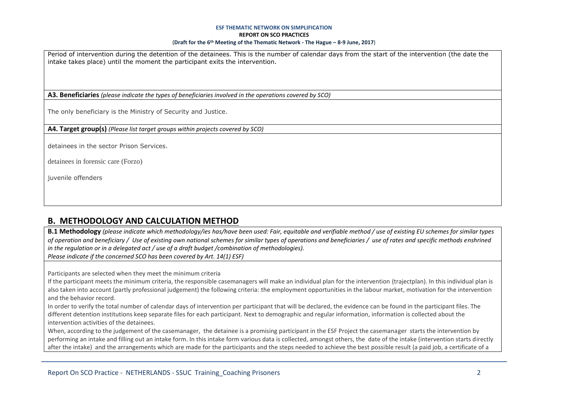#### **ESF THEMATIC NETWORK ON SIMPLIFICATION REPORT ON SCO PRACTICES** (**Draft for the 6th Meeting of the Thematic Network - The Hague – 8-9 June, 2017**)

Period of intervention during the detention of the detainees. This is the number of calendar days from the start of the intervention (the date the intake takes place) until the moment the participant exits the intervention.

**A3. Beneficiaries** *(please indicate the types of beneficiaries involved in the operations covered by SCO)*

The only beneficiary is the Ministry of Security and Justice.

**A4. Target group(s)** *(Please list target groups within projects covered by SCO)*

detainees in the sector Prison Services.

detainees in forensic care (Forzo)

juvenile offenders

### **B. METHODOLOGY AND CALCULATION METHOD**

**B.1 Methodology** *(please indicate which methodology/ies has/have been used: Fair, equitable and verifiable method / use of existing EU schemes for similar types of operation and beneficiary / Use of existing own national schemes for similar types of operations and beneficiaries / use of rates and specific methods enshrined in the regulation or in a delegated act / use of a draft budget /combination of methodologies).*

*Please indicate if the concerned SCO has been covered by Art. 14(1) ESF)*

Participants are selected when they meet the minimum criteria

If the participant meets the minimum criteria, the responsible casemanagers will make an individual plan for the intervention (trajectplan). In this individual plan is also taken into account (partly professional judgement) the following criteria: the employment opportunities in the labour market, motivation for the intervention and the behavior record.

In order to verify the total number of calendar days of intervention per participant that will be declared, the evidence can be found in the participant files. The different detention institutions keep separate files for each participant. Next to demographic and regular information, information is collected about the intervention activities of the detainees.

When, according to the judgement of the casemanager, the detainee is a promising participant in the ESF Project the casemanager starts the intervention by performing an intake and filling out an intake form. In this intake form various data is collected, amongst others, the date of the intake (intervention starts directly after the intake) and the arrangements which are made for the participants and the steps needed to achieve the best possible result (a paid job, a certificate of a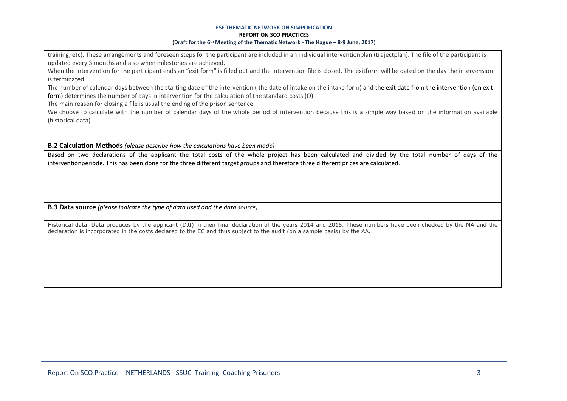#### **ESF THEMATIC NETWORK ON SIMPLIFICATION REPORT ON SCO PRACTICES** (**Draft for the 6th Meeting of the Thematic Network - The Hague – 8-9 June, 2017**)

training, etc). These arrangements and foreseen steps for the participant are included in an individual interventionplan (trajectplan). The file of the participant is updated every 3 months and also when milestones are achieved.

When the intervention for the participant ends an "exit form" is filled out and the intervention file is closed. The exitform will be dated on the day the intervension is terminated.

The number of calendar days between the starting date of the intervention ( the date of intake on the intake form) and the exit date from the intervention (on exit form) determines the number of days in intervention for the calculation of the standard costs (Q).

The main reason for closing a file is usual the ending of the prison sentence.

We choose to calculate with the number of calendar days of the whole period of intervention because this is a simple way based on the information available (historical data).

**B.2 Calculation Methods** *(please describe how the calculations have been made)*

Based on two declarations of the applicant the total costs of the whole project has been calculated and divided by the total number of days of the interventionperiode. This has been done for the three different target groups and therefore three different prices are calculated.

**B.3 Data source** *(please indicate the type of data used and the data source)*

Historical data. Data produces by the applicant (DJI) in their final declaration of the years 2014 and 2015. These numbers have been checked by the MA and the declaration is incorporated in the costs declared to the EC and thus subject to the audit (on a sample basis) by the AA.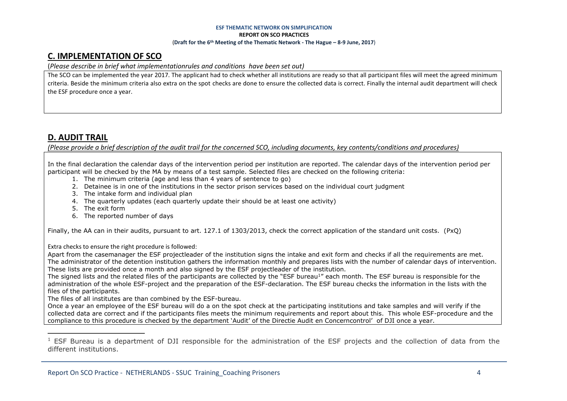#### **ESF THEMATIC NETWORK ON SIMPLIFICATION REPORT ON SCO PRACTICES** (**Draft for the 6th Meeting of the Thematic Network - The Hague – 8-9 June, 2017**)

# **C. IMPLEMENTATION OF SCO**

(*Please describe in brief what implementationrules and conditions have been set out)*

The SCO can be implemented the year 2017. The applicant had to check whether all institutions are ready so that all participant files will meet the agreed minimum criteria. Beside the minimum criteria also extra on the spot checks are done to ensure the collected data is correct. Finally the internal audit department will check the ESF procedure once a year.

# **D. AUDIT TRAIL**

 $\overline{a}$ 

*(Please provide a brief description of the audit trail for the concerned SCO, including documents, key contents/conditions and procedures)*

In the final declaration the calendar days of the intervention period per institution are reported. The calendar days of the intervention period per participant will be checked by the MA by means of a test sample. Selected files are checked on the following criteria:

- 1. The minimum criteria (age and less than 4 years of sentence to go)
- 2. Detainee is in one of the institutions in the sector prison services based on the individual court judgment
- 3. The intake form and individual plan
- 4. The quarterly updates (each quarterly update their should be at least one activity)
- 5. The exit form
- 6. The reported number of days

Finally, the AA can in their audits, pursuant to art. 127.1 of 1303/2013, check the correct application of the standard unit costs. (PxQ)

Extra checks to ensure the right procedure is followed:

Apart from the casemanager the ESF projectleader of the institution signs the intake and exit form and checks if all the requirements are met. The administrator of the detention institution gathers the information monthly and prepares lists with the number of calendar days of intervention. These lists are provided once a month and also signed by the ESF projectleader of the institution.

The signed lists and the related files of the participants are collected by the "ESF bureau1" each month. The ESF bureau is responsible for the administration of the whole ESF-project and the preparation of the ESF-declaration. The ESF bureau checks the information in the lists with the files of the participants.

The files of all institutes are than combined by the ESF-bureau.

Once a year an employee of the ESF bureau will do a on the spot check at the participating institutions and take samples and will verify if the collected data are correct and if the participants files meets the minimum requirements and report about this. This whole ESF-procedure and the compliance to this procedure is checked by the department 'Audit' of the Directie Audit en Concerncontrol' of DJI once a year.

<sup>&</sup>lt;sup>1</sup> ESF Bureau is a department of DJI responsible for the administration of the ESF projects and the collection of data from the different institutions.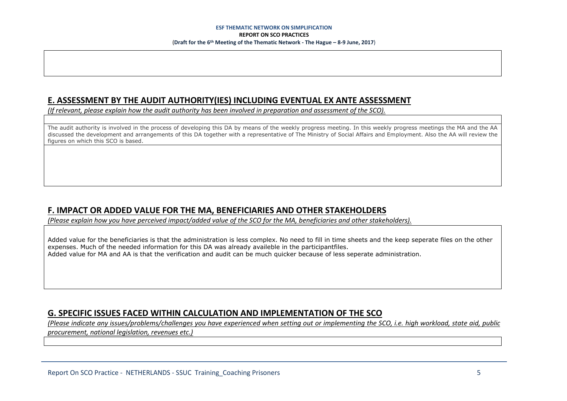### **E. ASSESSMENT BY THE AUDIT AUTHORITY(IES) INCLUDING EVENTUAL EX ANTE ASSESSMENT**

*(If relevant, please explain how the audit authority has been involved in preparation and assessment of the SCO).* 

The audit authority is involved in the process of developing this DA by means of the weekly progress meeting. In this weekly progress meetings the MA and the AA discussed the development and arrangements of this DA together with a representative of The Ministry of Social Affairs and Employment. Also the AA will review the figures on which this SCO is based.

# **F. IMPACT OR ADDED VALUE FOR THE MA, BENEFICIARIES AND OTHER STAKEHOLDERS**

*(Please explain how you have perceived impact/added value of the SCO for the MA, beneficiaries and other stakeholders).* 

Added value for the beneficiaries is that the administration is less complex. No need to fill in time sheets and the keep seperate files on the other expenses. Much of the needed information for this DA was already availeble in the participantfiles. Added value for MA and AA is that the verification and audit can be much quicker because of less seperate administration.

# **G. SPECIFIC ISSUES FACED WITHIN CALCULATION AND IMPLEMENTATION OF THE SCO**

*(Please indicate any issues/problems/challenges you have experienced when setting out or implementing the SCO, i.e. high workload, state aid, public procurement, national legislation, revenues etc.)*